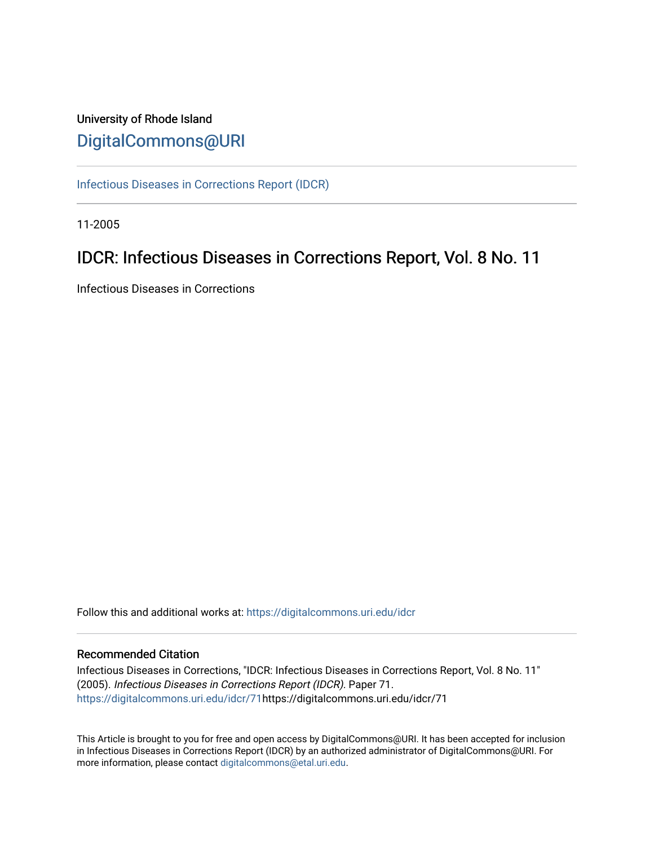# University of Rhode Island [DigitalCommons@URI](https://digitalcommons.uri.edu/)

[Infectious Diseases in Corrections Report \(IDCR\)](https://digitalcommons.uri.edu/idcr)

11-2005

# IDCR: Infectious Diseases in Corrections Report, Vol. 8 No. 11

Infectious Diseases in Corrections

Follow this and additional works at: [https://digitalcommons.uri.edu/idcr](https://digitalcommons.uri.edu/idcr?utm_source=digitalcommons.uri.edu%2Fidcr%2F71&utm_medium=PDF&utm_campaign=PDFCoverPages)

# Recommended Citation

Infectious Diseases in Corrections, "IDCR: Infectious Diseases in Corrections Report, Vol. 8 No. 11" (2005). Infectious Diseases in Corrections Report (IDCR). Paper 71. [https://digitalcommons.uri.edu/idcr/71h](https://digitalcommons.uri.edu/idcr/71?utm_source=digitalcommons.uri.edu%2Fidcr%2F71&utm_medium=PDF&utm_campaign=PDFCoverPages)ttps://digitalcommons.uri.edu/idcr/71

This Article is brought to you for free and open access by DigitalCommons@URI. It has been accepted for inclusion in Infectious Diseases in Corrections Report (IDCR) by an authorized administrator of DigitalCommons@URI. For more information, please contact [digitalcommons@etal.uri.edu.](mailto:digitalcommons@etal.uri.edu)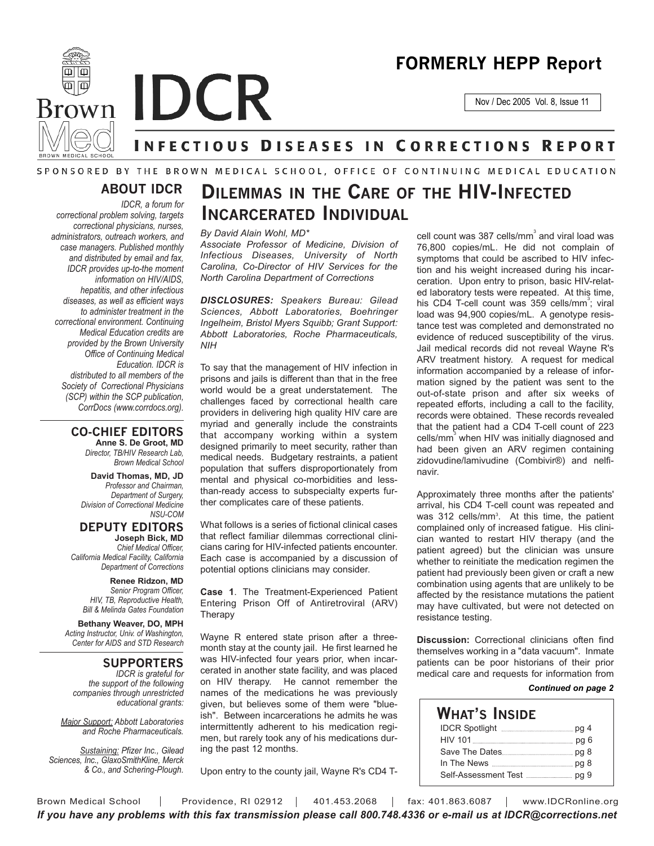# **FORMERLY HEPP Report**

Nov / Dec 2005 Vol. 8, Issue 11



**Brown IDCR** 

# **INFECTIOUS DISEASES IN CORRECTIONS REPORT**

# SPONSORED BY THE BROWN MEDICAL SCHOOL, OFFICE OF CONTINUING MEDICAL EDUCATION

# **ABOUT IDCR**

*IDCR, a forum for correctional problem solving, targets correctional physicians, nurses, administrators, outreach workers, and case managers. Published monthly and distributed by email and fax, IDCR provides up-to-the moment information on HIV/AIDS, hepatitis, and other infectious diseases, as well as efficient ways to administer treatment in the correctional environment. Continuing Medical Education credits are provided by the Brown University Office of Continuing Medical Education. IDCR is distributed to all members of the Society of Correctional Physicians (SCP) within the SCP publication, CorrDocs (www.corrdocs.org).*

# **CO-CHIEF EDITORS**

**Anne S. De Groot, MD** *Director, TB/HIV Research Lab, Brown Medical School*

**David Thomas, MD, JD** *Professor and Chairman, Department of Surgery, Division of Correctional Medicine NSU-COM*

**DEPUTY EDITORS Joseph Bick, MD**

*Chief Medical Officer, California Medical Facility, California Department of Corrections*

**Renee Ridzon, MD** *Senior Program Officer, HIV, TB, Reproductive Health, Bill & Melinda Gates Foundation*

**Bethany Weaver, DO, MPH** *Acting Instructor, Univ. of Washington, Center for AIDS and STD Research*

**SUPPORTERS**

*IDCR is grateful for the support of the following companies through unrestricted educational grants:*

*Major Support: Abbott Laboratories and Roche Pharmaceuticals.* 

*Sustaining: Pfizer Inc., Gilead Sciences, Inc., GlaxoSmithKline, Merck & Co., and Schering-Plough.*

# **DILEMMAS IN THE CARE OF THE HIV-INFECTED INCARCERATED INDIVIDUAL**

*By David Alain Wohl, MD\**

*Associate Professor of Medicine, Division of Infectious Diseases, University of North Carolina, Co-Director of HIV Services for the North Carolina Department of Corrections*

*DISCLOSURES: Speakers Bureau: Gilead Sciences, Abbott Laboratories, Boehringer Ingelheim, Bristol Myers Squibb; Grant Support: Abbott Laboratories, Roche Pharmaceuticals, NIH*

To say that the management of HIV infection in prisons and jails is different than that in the free world would be a great understatement. The challenges faced by correctional health care providers in delivering high quality HIV care are myriad and generally include the constraints that accompany working within a system designed primarily to meet security, rather than medical needs. Budgetary restraints, a patient population that suffers disproportionately from mental and physical co-morbidities and lessthan-ready access to subspecialty experts further complicates care of these patients.

What follows is a series of fictional clinical cases that reflect familiar dilemmas correctional clinicians caring for HIV-infected patients encounter. Each case is accompanied by a discussion of potential options clinicians may consider.

**Case 1**. The Treatment-Experienced Patient Entering Prison Off of Antiretroviral (ARV) Therapy

Wayne R entered state prison after a threemonth stay at the county jail. He first learned he was HIV-infected four years prior, when incarcerated in another state facility, and was placed on HIV therapy. He cannot remember the names of the medications he was previously given, but believes some of them were "blueish". Between incarcerations he admits he was intermittently adherent to his medication regimen, but rarely took any of his medications during the past 12 months.

Upon entry to the county jail, Wayne R's CD4 T-

cell count was 387 cells/mm $\degree$  and viral load was 76,800 copies/mL. He did not complain of symptoms that could be ascribed to HIV infection and his weight increased during his incarceration. Upon entry to prison, basic HIV-related laboratory tests were repeated. At this time, his CD4 T-cell count was 359 cells/mm<sup>3</sup>; viral load was 94,900 copies/mL. A genotype resistance test was completed and demonstrated no evidence of reduced susceptibility of the virus. Jail medical records did not reveal Wayne R's ARV treatment history. A request for medical information accompanied by a release of information signed by the patient was sent to the out-of-state prison and after six weeks of repeated efforts, including a call to the facility, records were obtained. These records revealed that the patient had a CD4 T-cell count of 223 cells/mm<sup>3</sup> when HIV was initially diagnosed and had been given an ARV regimen containing zidovudine/lamivudine (Combivir®) and nelfinavir.

Approximately three months after the patients' arrival, his CD4 T-cell count was repeated and was 312 cells/mm<sup>3</sup>. At this time, the patient complained only of increased fatigue. His clinician wanted to restart HIV therapy (and the patient agreed) but the clinician was unsure whether to reinitiate the medication regimen the patient had previously been given or craft a new combination using agents that are unlikely to be affected by the resistance mutations the patient may have cultivated, but were not detected on resistance testing.

**Discussion:** Correctional clinicians often find themselves working in a "data vacuum". Inmate patients can be poor historians of their prior medical care and requests for information from

### *Continued on page 2*

**WHAT'S INSIDE** IDCR Spotlight **manual metallicity** pg 4 HIV 101 pg 6 Save The Dates pg 8 In The News pg 8 Self-Assessment Test pg 9

Brown Medical School | Providence, RI 02912 | 401.453.2068 | fax: 401.863.6087 | www.IDCRonline.org *If you have any problems with this fax transmission please call 800.748.4336 or e-mail us at IDCR@corrections.net*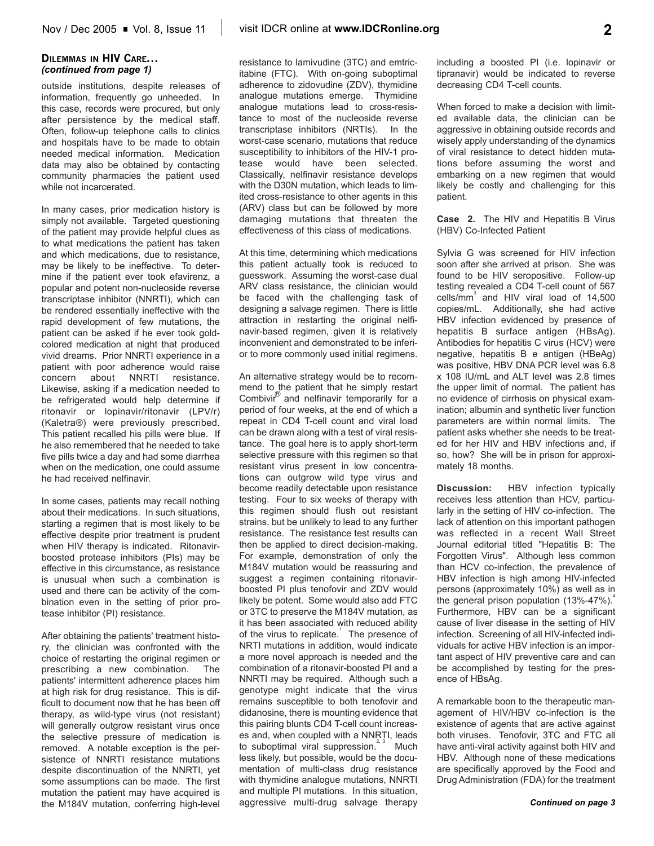## **DILEMMAS IN HIV CARE...** *(continued from page 1)*

outside institutions, despite releases of information, frequently go unheeded. In this case, records were procured, but only after persistence by the medical staff. Often, follow-up telephone calls to clinics and hospitals have to be made to obtain needed medical information. Medication data may also be obtained by contacting community pharmacies the patient used while not incarcerated.

In many cases, prior medication history is simply not available. Targeted questioning of the patient may provide helpful clues as to what medications the patient has taken and which medications, due to resistance, may be likely to be ineffective. To determine if the patient ever took efavirenz, a popular and potent non-nucleoside reverse transcriptase inhibitor (NNRTI), which can be rendered essentially ineffective with the rapid development of few mutations, the patient can be asked if he ever took goldcolored medication at night that produced vivid dreams. Prior NNRTI experience in a patient with poor adherence would raise concern about NNRTI resistance. Likewise, asking if a medication needed to be refrigerated would help determine if ritonavir or lopinavir/ritonavir (LPV/r) (Kaletra®) were previously prescribed. This patient recalled his pills were blue. If he also remembered that he needed to take five pills twice a day and had some diarrhea when on the medication, one could assume he had received nelfinavir.

In some cases, patients may recall nothing about their medications. In such situations, starting a regimen that is most likely to be effective despite prior treatment is prudent when HIV therapy is indicated. Ritonavirboosted protease inhibitors (PIs) may be effective in this circumstance, as resistance is unusual when such a combination is used and there can be activity of the combination even in the setting of prior protease inhibitor (PI) resistance.

After obtaining the patients' treatment history, the clinician was confronted with the choice of restarting the original regimen or prescribing a new combination. The patients' intermittent adherence places him at high risk for drug resistance. This is difficult to document now that he has been off therapy, as wild-type virus (not resistant) will generally outgrow resistant virus once the selective pressure of medication is removed. A notable exception is the persistence of NNRTI resistance mutations despite discontinuation of the NNRTI, yet some assumptions can be made. The first mutation the patient may have acquired is the M184V mutation, conferring high-level

resistance to lamivudine (3TC) and emtricitabine (FTC). With on-going suboptimal adherence to zidovudine (ZDV), thymidine analogue mutations emerge. Thymidine analogue mutations lead to cross-resistance to most of the nucleoside reverse transcriptase inhibitors (NRTIs). In the worst-case scenario, mutations that reduce susceptibility to inhibitors of the HIV-1 protease would have been selected. Classically, nelfinavir resistance develops with the D30N mutation, which leads to limited cross-resistance to other agents in this (ARV) class but can be followed by more damaging mutations that threaten the effectiveness of this class of medications.

At this time, determining which medications this patient actually took is reduced to guesswork. Assuming the worst-case dual ARV class resistance, the clinician would be faced with the challenging task of designing a salvage regimen. There is little attraction in restarting the original nelfinavir-based regimen, given it is relatively inconvenient and demonstrated to be inferior to more commonly used initial regimens.

An alternative strategy would be to recommend to the patient that he simply restart Combivir $^{\circledR}$  and nelfinavir temporarily for a period of four weeks, at the end of which a repeat in CD4 T-cell count and viral load can be drawn along with a test of viral resistance. The goal here is to apply short-term selective pressure with this regimen so that resistant virus present in low concentrations can outgrow wild type virus and become readily detectable upon resistance testing. Four to six weeks of therapy with this regimen should flush out resistant strains, but be unlikely to lead to any further resistance. The resistance test results can then be applied to direct decision-making. For example, demonstration of only the M184V mutation would be reassuring and suggest a regimen containing ritonavirboosted PI plus tenofovir and ZDV would likely be potent. Some would also add FTC or 3TC to preserve the M184V mutation, as it has been associated with reduced ability of the virus to replicate. $\frac{1}{1}$  The presence of NRTI mutations in addition, would indicate a more novel approach is needed and the combination of a ritonavir-boosted PI and a NNRTI may be required. Although such a genotype might indicate that the virus remains susceptible to both tenofovir and didanosine, there is mounting evidence that this pairing blunts CD4 T-cell count increases and, when coupled with a NNRTI, leads to suboptimal viral suppression.<sup>2, 3</sup> Much less likely, but possible, would be the documentation of multi-class drug resistance with thymidine analogue mutations, NNRTI and multiple PI mutations. In this situation, aggressive multi-drug salvage therapy

including a boosted PI (i.e. lopinavir or tipranavir) would be indicated to reverse decreasing CD4 T-cell counts.

When forced to make a decision with limited available data, the clinician can be aggressive in obtaining outside records and wisely apply understanding of the dynamics of viral resistance to detect hidden mutations before assuming the worst and embarking on a new regimen that would likely be costly and challenging for this patient.

**Case 2.** The HIV and Hepatitis B Virus (HBV) Co-Infected Patient

Sylvia G was screened for HIV infection soon after she arrived at prison. She was found to be HIV seropositive. Follow-up testing revealed a CD4 T-cell count of 567 cells/mm<sup>3</sup> and HIV viral load of 14,500 copies/mL. Additionally, she had active HBV infection evidenced by presence of hepatitis B surface antigen (HBsAg). Antibodies for hepatitis C virus (HCV) were negative, hepatitis B e antigen (HBeAg) was positive, HBV DNA PCR level was 6.8 x 108 IU/mL and ALT level was 2.8 times the upper limit of normal. The patient has no evidence of cirrhosis on physical examination; albumin and synthetic liver function parameters are within normal limits. The patient asks whether she needs to be treated for her HIV and HBV infections and, if so, how? She will be in prison for approximately 18 months.

**Discussion:** HBV infection typically receives less attention than HCV, particularly in the setting of HIV co-infection. The lack of attention on this important pathogen was reflected in a recent Wall Street Journal editorial titled "Hepatitis B: The Forgotten Virus". Although less common than HCV co-infection, the prevalence of HBV infection is high among HIV-infected persons (approximately 10%) as well as in the general prison population  $(13\% - 47\%)$ . Furthermore, HBV can be a significant cause of liver disease in the setting of HIV infection. Screening of all HIV-infected individuals for active HBV infection is an important aspect of HIV preventive care and can be accomplished by testing for the presence of HBsAg.

A remarkable boon to the therapeutic management of HIV/HBV co-infection is the existence of agents that are active against both viruses. Tenofovir, 3TC and FTC all have anti-viral activity against both HIV and HBV. Although none of these medications are specifically approved by the Food and Drug Administration (FDA) for the treatment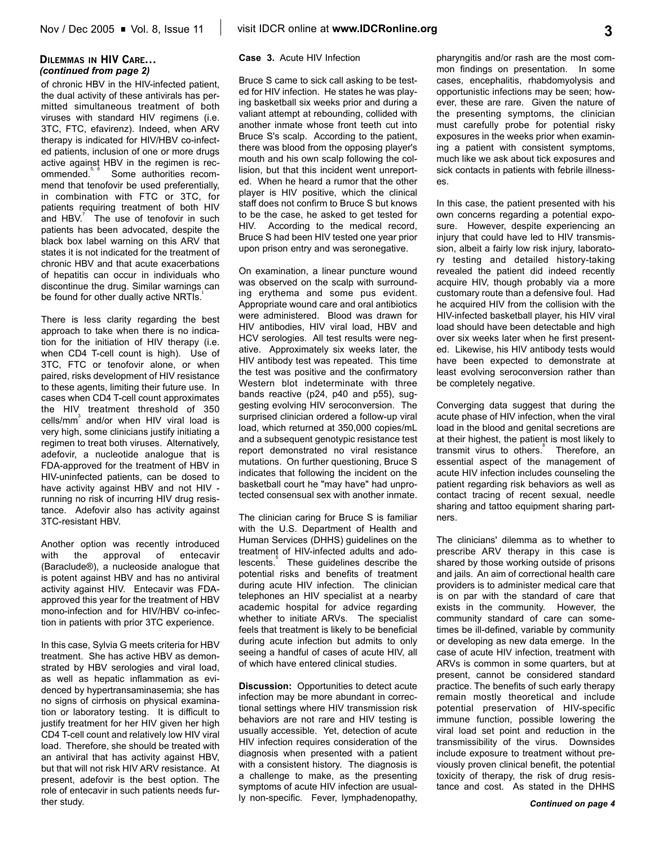of chronic HBV in the HIV-infected patient, the dual activity of these antivirals has permitted simultaneous treatment of both viruses with standard HIV regimens (i.e. 3TC, FTC, efavirenz). Indeed, when ARV therapy is indicated for HIV/HBV co-infected patients, inclusion of one or more drugs active against HBV in the regimen is recommended.<sup>5,6</sup> Some authorities recom-Some authorities recommend that tenofovir be used preferentially, in combination with FTC or 3TC, for patients requiring treatment of both HIV and  $HBV^7$  The use of tenofovir in such patients has been advocated, despite the black box label warning on this ARV that states it is not indicated for the treatment of chronic HBV and that acute exacerbations of hepatitis can occur in individuals who discontinue the drug. Similar warnings can be found for other dually active NRTIs.<sup>1</sup>

There is less clarity regarding the best approach to take when there is no indication for the initiation of HIV therapy (i.e. when CD4 T-cell count is high). Use of 3TC, FTC or tenofovir alone, or when paired, risks development of HIV resistance to these agents, limiting their future use. In cases when CD4 T-cell count approximates the HIV treatment threshold of 350 cells/mm<sup>3</sup> and/or when HIV viral load is very high, some clinicians justify initiating a regimen to treat both viruses. Alternatively, adefovir, a nucleotide analogue that is FDA-approved for the treatment of HBV in HIV-uninfected patients, can be dosed to have activity against HBV and not HIV running no risk of incurring HIV drug resistance. Adefovir also has activity against 3TC-resistant HBV.

Another option was recently introduced with the approval of entecavir (Baraclude®), a nucleoside analogue that is potent against HBV and has no antiviral activity against HIV. Entecavir was FDAapproved this year for the treatment of HBV mono-infection and for HIV/HBV co-infection in patients with prior 3TC experience.

In this case, Sylvia G meets criteria for HBV treatment. She has active HBV as demonstrated by HBV serologies and viral load, as well as hepatic inflammation as evidenced by hypertransaminasemia; she has no signs of cirrhosis on physical examination or laboratory testing. It is difficult to justify treatment for her HIV given her high CD4 T-cell count and relatively low HIV viral load. Therefore, she should be treated with an antiviral that has activity against HBV, but that will not risk HIV ARV resistance. At present, adefovir is the best option. The role of entecavir in such patients needs further study.

### **Case 3.** Acute HIV Infection

Bruce S came to sick call asking to be tested for HIV infection. He states he was playing basketball six weeks prior and during a valiant attempt at rebounding, collided with another inmate whose front teeth cut into Bruce S's scalp. According to the patient, there was blood from the opposing player's mouth and his own scalp following the collision, but that this incident went unreported. When he heard a rumor that the other player is HIV positive, which the clinical staff does not confirm to Bruce S but knows to be the case, he asked to get tested for HIV. According to the medical record, Bruce S had been HIV tested one year prior upon prison entry and was seronegative.

On examination, a linear puncture wound was observed on the scalp with surrounding erythema and some pus evident. Appropriate wound care and oral antibiotics were administered. Blood was drawn for HIV antibodies, HIV viral load, HBV and HCV serologies. All test results were negative. Approximately six weeks later, the HIV antibody test was repeated. This time the test was positive and the confirmatory Western blot indeterminate with three bands reactive (p24, p40 and p55), suggesting evolving HIV seroconversion. The surprised clinician ordered a follow-up viral load, which returned at 350,000 copies/mL and a subsequent genotypic resistance test report demonstrated no viral resistance mutations. On further questioning, Bruce S indicates that following the incident on the basketball court he "may have" had unprotected consensual sex with another inmate.

The clinician caring for Bruce S is familiar with the U.S. Department of Health and Human Services (DHHS) guidelines on the treatment of HIV-infected adults and adolescents.<sup>5</sup> These guidelines describe the potential risks and benefits of treatment during acute HIV infection. The clinician telephones an HIV specialist at a nearby academic hospital for advice regarding whether to initiate ARVs. The specialist feels that treatment is likely to be beneficial during acute infection but admits to only seeing a handful of cases of acute HIV, all of which have entered clinical studies.

**Discussion:** Opportunities to detect acute infection may be more abundant in correctional settings where HIV transmission risk behaviors are not rare and HIV testing is usually accessible. Yet, detection of acute HIV infection requires consideration of the diagnosis when presented with a patient with a consistent history. The diagnosis is a challenge to make, as the presenting symptoms of acute HIV infection are usually non-specific. Fever, lymphadenopathy,

pharyngitis and/or rash are the most common findings on presentation. In some cases, encephalitis, rhabdomyolysis and opportunistic infections may be seen; however, these are rare. Given the nature of the presenting symptoms, the clinician must carefully probe for potential risky exposures in the weeks prior when examining a patient with consistent symptoms, much like we ask about tick exposures and sick contacts in patients with febrile illnesses.

In this case, the patient presented with his own concerns regarding a potential exposure. However, despite experiencing an injury that could have led to HIV transmission, albeit a fairly low risk injury, laboratory testing and detailed history-taking revealed the patient did indeed recently acquire HIV, though probably via a more customary route than a defensive foul. Had he acquired HIV from the collision with the HIV-infected basketball player, his HIV viral load should have been detectable and high over six weeks later when he first presented. Likewise, his HIV antibody tests would have been expected to demonstrate at least evolving seroconversion rather than be completely negative.

Converging data suggest that during the acute phase of HIV infection, when the viral load in the blood and genital secretions are at their highest, the patient is most likely to transmit virus to others.<sup>8</sup> Therefore, an essential aspect of the management of acute HIV infection includes counseling the patient regarding risk behaviors as well as contact tracing of recent sexual, needle sharing and tattoo equipment sharing partners.

The clinicians' dilemma as to whether to prescribe ARV therapy in this case is shared by those working outside of prisons and jails. An aim of correctional health care providers is to administer medical care that is on par with the standard of care that exists in the community. However, the community standard of care can sometimes be ill-defined, variable by community or developing as new data emerge. In the case of acute HIV infection, treatment with ARVs is common in some quarters, but at present, cannot be considered standard practice. The benefits of such early therapy remain mostly theoretical and include potential preservation of HIV-specific immune function, possible lowering the viral load set point and reduction in the transmissibility of the virus. Downsides include exposure to treatment without previously proven clinical benefit, the potential toxicity of therapy, the risk of drug resistance and cost. As stated in the DHHS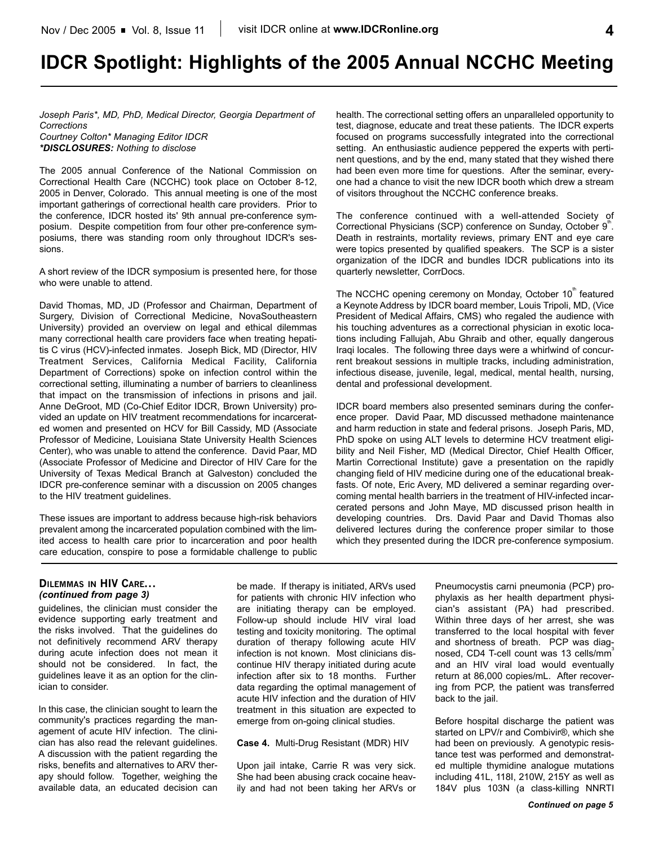# **IDCR Spotlight: Highlights of the 2005 Annual NCCHC Meeting**

*Joseph Paris\*, MD, PhD, Medical Director, Georgia Department of Corrections Courtney Colton\* Managing Editor IDCR*

*\*DISCLOSURES: Nothing to disclose*

The 2005 annual Conference of the National Commission on Correctional Health Care (NCCHC) took place on October 8-12, 2005 in Denver, Colorado. This annual meeting is one of the most important gatherings of correctional health care providers. Prior to the conference, IDCR hosted its' 9th annual pre-conference symposium. Despite competition from four other pre-conference symposiums, there was standing room only throughout IDCR's sessions.

A short review of the IDCR symposium is presented here, for those who were unable to attend.

David Thomas, MD, JD (Professor and Chairman, Department of Surgery, Division of Correctional Medicine, NovaSoutheastern University) provided an overview on legal and ethical dilemmas many correctional health care providers face when treating hepatitis C virus (HCV)-infected inmates. Joseph Bick, MD (Director, HIV Treatment Services, California Medical Facility, California Department of Corrections) spoke on infection control within the correctional setting, illuminating a number of barriers to cleanliness that impact on the transmission of infections in prisons and jail. Anne DeGroot, MD (Co-Chief Editor IDCR, Brown University) provided an update on HIV treatment recommendations for incarcerated women and presented on HCV for Bill Cassidy, MD (Associate Professor of Medicine, Louisiana State University Health Sciences Center), who was unable to attend the conference. David Paar, MD (Associate Professor of Medicine and Director of HIV Care for the University of Texas Medical Branch at Galveston) concluded the IDCR pre-conference seminar with a discussion on 2005 changes to the HIV treatment guidelines.

These issues are important to address because high-risk behaviors prevalent among the incarcerated population combined with the limited access to health care prior to incarceration and poor health care education, conspire to pose a formidable challenge to public health. The correctional setting offers an unparalleled opportunity to test, diagnose, educate and treat these patients. The IDCR experts focused on programs successfully integrated into the correctional setting. An enthusiastic audience peppered the experts with pertinent questions, and by the end, many stated that they wished there had been even more time for questions. After the seminar, everyone had a chance to visit the new IDCR booth which drew a stream of visitors throughout the NCCHC conference breaks.

The conference continued with a well-attended Society of Correctional Physicians (SCP) conference on Sunday, October 9<sup>th</sup>. Death in restraints, mortality reviews, primary ENT and eye care were topics presented by qualified speakers. The SCP is a sister organization of the IDCR and bundles IDCR publications into its quarterly newsletter, CorrDocs.

The NCCHC opening ceremony on Monday, October 10<sup>th</sup> featured a Keynote Address by IDCR board member, Louis Tripoli, MD, (Vice President of Medical Affairs, CMS) who regaled the audience with his touching adventures as a correctional physician in exotic locations including Fallujah, Abu Ghraib and other, equally dangerous Iraqi locales. The following three days were a whirlwind of concurrent breakout sessions in multiple tracks, including administration, infectious disease, juvenile, legal, medical, mental health, nursing, dental and professional development.

IDCR board members also presented seminars during the conference proper. David Paar, MD discussed methadone maintenance and harm reduction in state and federal prisons. Joseph Paris, MD, PhD spoke on using ALT levels to determine HCV treatment eligibility and Neil Fisher, MD (Medical Director, Chief Health Officer, Martin Correctional Institute) gave a presentation on the rapidly changing field of HIV medicine during one of the educational breakfasts. Of note, Eric Avery, MD delivered a seminar regarding overcoming mental health barriers in the treatment of HIV-infected incarcerated persons and John Maye, MD discussed prison health in developing countries. Drs. David Paar and David Thomas also delivered lectures during the conference proper similar to those which they presented during the IDCR pre-conference symposium.

## **DILEMMAS IN HIV CARE...** *(continued from page 3)*

guidelines, the clinician must consider the evidence supporting early treatment and the risks involved. That the guidelines do not definitively recommend ARV therapy during acute infection does not mean it should not be considered. In fact, the guidelines leave it as an option for the clinician to consider.

In this case, the clinician sought to learn the community's practices regarding the management of acute HIV infection. The clinician has also read the relevant guidelines. A discussion with the patient regarding the risks, benefits and alternatives to ARV therapy should follow. Together, weighing the available data, an educated decision can

be made. If therapy is initiated, ARVs used for patients with chronic HIV infection who are initiating therapy can be employed. Follow-up should include HIV viral load testing and toxicity monitoring. The optimal duration of therapy following acute HIV infection is not known. Most clinicians discontinue HIV therapy initiated during acute infection after six to 18 months. Further data regarding the optimal management of acute HIV infection and the duration of HIV treatment in this situation are expected to emerge from on-going clinical studies.

**Case 4.** Multi-Drug Resistant (MDR) HIV

Upon jail intake, Carrie R was very sick. She had been abusing crack cocaine heavily and had not been taking her ARVs or Pneumocystis carni pneumonia (PCP) prophylaxis as her health department physician's assistant (PA) had prescribed. Within three days of her arrest, she was transferred to the local hospital with fever and shortness of breath. PCP was diagnosed, CD4 T-cell count was 13 cells/mm<sup>3</sup> and an HIV viral load would eventually return at 86,000 copies/mL. After recovering from PCP, the patient was transferred back to the jail.

Before hospital discharge the patient was started on LPV/r and Combivir®, which she had been on previously. A genotypic resistance test was performed and demonstrated multiple thymidine analogue mutations including 41L, 118I, 210W, 215Y as well as 184V plus 103N (a class-killing NNRTI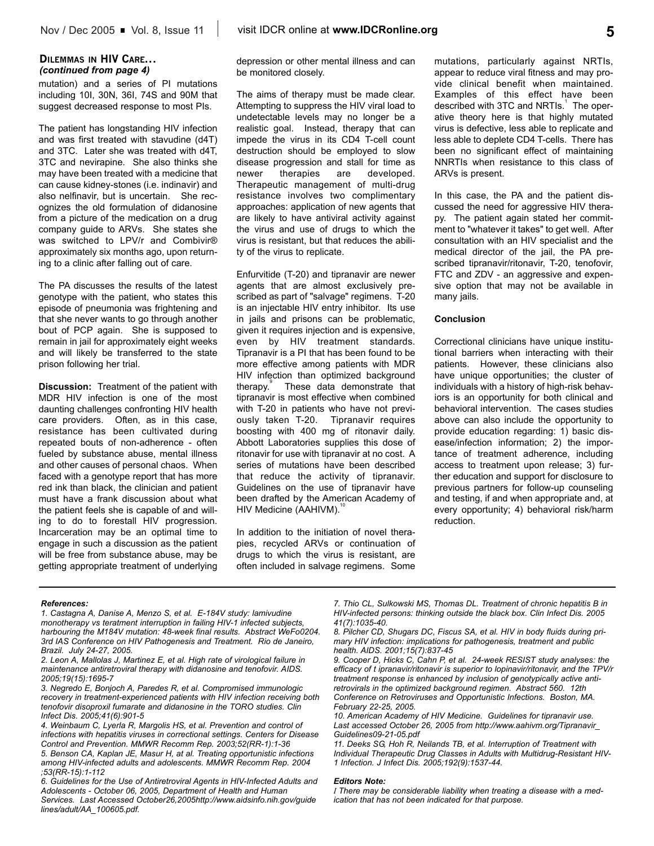## **DILEMMAS IN HIV CARE...** *(continued from page 4)*

mutation) and a series of PI mutations including 10I, 30N, 36I, 74S and 90M that suggest decreased response to most PIs.

The patient has longstanding HIV infection and was first treated with stavudine (d4T) and 3TC. Later she was treated with d4T, 3TC and nevirapine. She also thinks she may have been treated with a medicine that can cause kidney-stones (i.e. indinavir) and also nelfinavir, but is uncertain. She recognizes the old formulation of didanosine from a picture of the medication on a drug company guide to ARVs. She states she was switched to LPV/r and Combivir® approximately six months ago, upon returning to a clinic after falling out of care.

The PA discusses the results of the latest genotype with the patient, who states this episode of pneumonia was frightening and that she never wants to go through another bout of PCP again. She is supposed to remain in jail for approximately eight weeks and will likely be transferred to the state prison following her trial.

**Discussion:** Treatment of the patient with MDR HIV infection is one of the most daunting challenges confronting HIV health care providers. Often, as in this case, resistance has been cultivated during repeated bouts of non-adherence - often fueled by substance abuse, mental illness and other causes of personal chaos. When faced with a genotype report that has more red ink than black, the clinician and patient must have a frank discussion about what the patient feels she is capable of and willing to do to forestall HIV progression. Incarceration may be an optimal time to engage in such a discussion as the patient will be free from substance abuse, may be getting appropriate treatment of underlying depression or other mental illness and can be monitored closely.

The aims of therapy must be made clear. Attempting to suppress the HIV viral load to undetectable levels may no longer be a realistic goal. Instead, therapy that can impede the virus in its CD4 T-cell count destruction should be employed to slow disease progression and stall for time as newer therapies are developed. Therapeutic management of multi-drug resistance involves two complimentary approaches: application of new agents that are likely to have antiviral activity against the virus and use of drugs to which the virus is resistant, but that reduces the ability of the virus to replicate.

Enfurvitide (T-20) and tipranavir are newer agents that are almost exclusively prescribed as part of "salvage" regimens. T-20 is an injectable HIV entry inhibitor. Its use in jails and prisons can be problematic, given it requires injection and is expensive, even by HIV treatment standards. Tipranavir is a PI that has been found to be more effective among patients with MDR HIV infection than optimized background therapy. These data demonstrate that tipranavir is most effective when combined with T-20 in patients who have not previously taken T-20. Tipranavir requires boosting with 400 mg of ritonavir daily. Abbott Laboratories supplies this dose of ritonavir for use with tipranavir at no cost. A series of mutations have been described that reduce the activity of tipranavir. Guidelines on the use of tipranavir have been drafted by the American Academy of HIV Medicine (AAHIVM).<sup>1</sup>

In addition to the initiation of novel therapies, recycled ARVs or continuation of drugs to which the virus is resistant, are often included in salvage regimens. Some

mutations, particularly against NRTIs, appear to reduce viral fitness and may provide clinical benefit when maintained. Examples of this effect have been described with 3TC and NRTIs.<sup>1</sup> The operative theory here is that highly mutated virus is defective, less able to replicate and less able to deplete CD4 T-cells. There has been no significant effect of maintaining NNRTIs when resistance to this class of ARVs is present.

In this case, the PA and the patient discussed the need for aggressive HIV therapy. The patient again stated her commitment to "whatever it takes" to get well. After consultation with an HIV specialist and the medical director of the jail, the PA prescribed tipranavir/ritonavir, T-20, tenofovir, FTC and ZDV - an aggressive and expensive option that may not be available in many jails.

### **Conclusion**

Correctional clinicians have unique institutional barriers when interacting with their patients. However, these clinicians also have unique opportunities; the cluster of individuals with a history of high-risk behaviors is an opportunity for both clinical and behavioral intervention. The cases studies above can also include the opportunity to provide education regarding: 1) basic disease/infection information; 2) the importance of treatment adherence, including access to treatment upon release; 3) further education and support for disclosure to previous partners for follow-up counseling and testing, if and when appropriate and, at every opportunity; 4) behavioral risk/harm reduction.

#### *References:*

- *1. Castagna A, Danise A, Menzo S, et al. E-184V study: lamivudine monotherapy vs teratment interruption in failing HIV-1 infected subjects, harbouring the M184V mutation: 48-week final results. Abstract WeFo0204. 3rd IAS Conference on HIV Pathogenesis and Treatment. Rio de Janeiro, Brazil. July 24-27, 2005.*
- *2. Leon A, Mallolas J, Martinez E, et al. High rate of virological failure in maintenance antiretroviral therapy with didanosine and tenofovir. AIDS. 2005;19(15):1695-7*
- *3. Negredo E, Bonjoch A, Paredes R, et al. Compromised immunologic recovery in treatment-experienced patients with HIV infection receiving both tenofovir disoproxil fumarate and didanosine in the TORO studies. Clin Infect Dis. 2005;41(6):901-5*
- *4. Weinbaum C, Lyerla R, Margolis HS, et al. Prevention and control of infections with hepatitis viruses in correctional settings. Centers for Disease Control and Prevention. MMWR Recomm Rep. 2003;52(RR-1):1-36 5. Benson CA, Kaplan JE, Masur H, at al. Treating opportunistic infections among HIV-infected adults and adolescents. MMWR Recomm Rep. 2004 ;53(RR-15):1-112*

*7. Thio CL, Sulkowski MS, Thomas DL. Treatment of chronic hepatitis B in HIV-infected persons: thinking outside the black box. Clin Infect Dis. 2005 41(7):1035-40.*

*9. Cooper D, Hicks C, Cahn P, et al. 24-week RESIST study analyses: the efficacy of t ipranavir/ritonavir is superior to lopinavir/ritonavir, and the TPV/r treatment response is enhanced by inclusion of genotypically active antiretrovirals in the optimized background regimen. Abstract 560. 12th Conference on Retroviruses and Opportunistic Infections. Boston, MA. February 22-25, 2005.*

#### *Editors Note:*

*I There may be considerable liability when treating a disease with a medication that has not been indicated for that purpose.*

*<sup>6.</sup> Guidelines for the Use of Antiretroviral Agents in HIV-Infected Adults and*

*Adolescents - October 06, 2005, Department of Health and Human Services. Last Accessed October26,2005http://www.aidsinfo.nih.gov/guide lines/adult/AA\_100605.pdf.* 

*<sup>8.</sup> Pilcher CD, Shugars DC, Fiscus SA, et al. HIV in body fluids during primary HIV infection: implications for pathogenesis, treatment and public health. AIDS. 2001;15(7):837-45*

*<sup>10.</sup> American Academy of HIV Medicine. Guidelines for tipranavir use. Last accessed October 26, 2005 from http://www.aahivm.org/Tipranavir\_ Guidelines09-21-05.pdf*

*<sup>11.</sup> Deeks SG, Hoh R, Neilands TB, et al. Interruption of Treatment with Individual Therapeutic Drug Classes in Adults with Multidrug-Resistant HIV-1 Infection. J Infect Dis. 2005;192(9):1537-44.*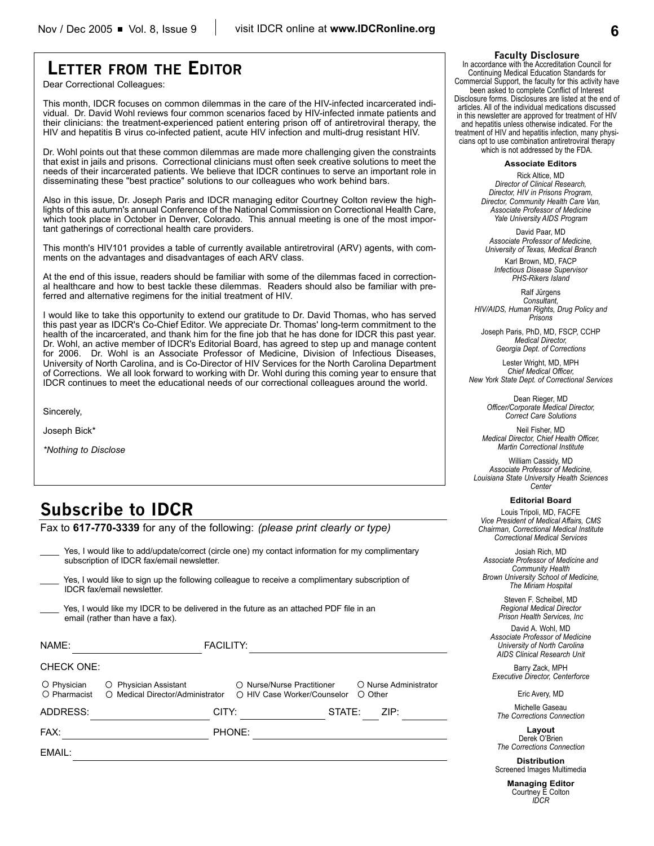# **LETTER FROM THE EDITOR**

Dear Correctional Colleagues:

This month, IDCR focuses on common dilemmas in the care of the HIV-infected incarcerated individual. Dr. David Wohl reviews four common scenarios faced by HIV-infected inmate patients and their clinicians: the treatment-experienced patient entering prison off of antiretroviral therapy, the HIV and hepatitis B virus co-infected patient, acute HIV infection and multi-drug resistant HIV.

Dr. Wohl points out that these common dilemmas are made more challenging given the constraints that exist in jails and prisons. Correctional clinicians must often seek creative solutions to meet the needs of their incarcerated patients. We believe that IDCR continues to serve an important role in disseminating these "best practice" solutions to our colleagues who work behind bars.

Also in this issue, Dr. Joseph Paris and IDCR managing editor Courtney Colton review the highlights of this autumn's annual Conference of the National Commission on Correctional Health Care, which took place in October in Denver, Colorado. This annual meeting is one of the most important gatherings of correctional health care providers.

This month's HIV101 provides a table of currently available antiretroviral (ARV) agents, with comments on the advantages and disadvantages of each ARV class.

At the end of this issue, readers should be familiar with some of the dilemmas faced in correctional healthcare and how to best tackle these dilemmas. Readers should also be familiar with preferred and alternative regimens for the initial treatment of HIV.

I would like to take this opportunity to extend our gratitude to Dr. David Thomas, who has served this past year as IDCR's Co-Chief Editor. We appreciate Dr. Thomas' long-term commitment to the health of the incarcerated, and thank him for the fine job that he has done for IDCR this past year. Dr. Wohl, an active member of IDCR's Editorial Board, has agreed to step up and manage content for 2006. Dr. Wohl is an Associate Professor of Medicine, Division of Infectious Diseases, University of North Carolina, and is Co-Director of HIV Services for the North Carolina Department of Corrections. We all look forward to working with Dr. Wohl during this coming year to ensure that IDCR continues to meet the educational needs of our correctional colleagues around the world.

Sincerely,

Joseph Bick\*

*\*Nothing to Disclose*

# **Subscribe to IDCR**

Fax to **617-770-3339** for any of the following: *(please print clearly or type)*

Yes, I would like to add/update/correct (circle one) my contact information for my complimentary subscription of IDCR fax/email newsletter.

Yes, I would like to sign up the following colleague to receive a complimentary subscription of IDCR fax/email newsletter.

Yes, I would like my IDCR to be delivered in the future as an attached PDF file in an email (rather than have a fax).

| NAME:                             |                                                           | <b>FACILITY:</b> |                                                           |        |               |                       |
|-----------------------------------|-----------------------------------------------------------|------------------|-----------------------------------------------------------|--------|---------------|-----------------------|
| <b>CHECK ONE:</b>                 |                                                           |                  |                                                           |        |               |                       |
| $\circ$ Physician<br>O Pharmacist | O Physician Assistant<br>O Medical Director/Administrator |                  | ○ Nurse/Nurse Practitioner<br>○ HIV Case Worker/Counselor |        | $\circ$ Other | O Nurse Administrator |
| ADDRESS:                          |                                                           | CITY:            |                                                           | STATE: |               | ZIP:                  |
| FAX:                              |                                                           | PHONE:           |                                                           |        |               |                       |
| EMAIL:                            |                                                           |                  |                                                           |        |               |                       |

#### **Faculty Disclosure**

In accordance with the Accreditation Council for Continuing Medical Education Standards for Commercial Support, the faculty for this activity have been asked to complete Conflict of Interest Disclosure forms. Disclosures are listed at the end of articles. All of the individual medications discussed in this newsletter are approved for treatment of HIV and hepatitis unless otherwise indicated. For the treatment of HIV and hepatitis infection, many physicians opt to use combination antiretroviral therapy which is not addressed by the FDA.

**Associate Editors**

Rick Altice, MD *Director of Clinical Research, Director, HIV in Prisons Program, Director, Community Health Care Van, Associate Professor of Medicine Yale University AIDS Program*

David Paar, MD *Associate Professor of Medicine, University of Texas, Medical Branch*

Karl Brown, MD, FACP *Infectious Disease Supervisor PHS-Rikers Island*

Ralf Jürgens *Consultant, HIV/AIDS, Human Rights, Drug Policy and Prisons*

Joseph Paris, PhD, MD, FSCP, CCHP *Medical Director, Georgia Dept. of Corrections*

Lester Wright, MD, MPH *Chief Medical Officer, New York State Dept. of Correctional Services*

> Dean Rieger, MD *Officer/Corporate Medical Director, Correct Care Solutions*

Neil Fisher, MD *Medical Director, Chief Health Officer, Martin Correctional Institute*

William Cassidy, MD *Associate Professor of Medicine, Louisiana State University Health Sciences Center*

#### **Editorial Board**

Louis Tripoli, MD, FACFE *Vice President of Medical Affairs, CMS Chairman, Correctional Medical Institute Correctional Medical Services*

Josiah Rich, MD *Associate Professor of Medicine and Community Health Brown University School of Medicine, The Miriam Hospital*

> Steven F. Scheibel, MD *Regional Medical Director Prison Health Services, Inc*

David A. Wohl, MD *Associate Professor of Medicine University of North Carolina AIDS Clinical Research Unit*

Barry Zack, MPH *Executive Director, Centerforce*

Eric Avery, MD

Michelle Gaseau *The Corrections Connection*

**Layout** Derek O'Brien *The Corrections Connection*

**Distribution** Screened Images Multimedia

> **Managing Editor** Courtney E Colton *IDCR*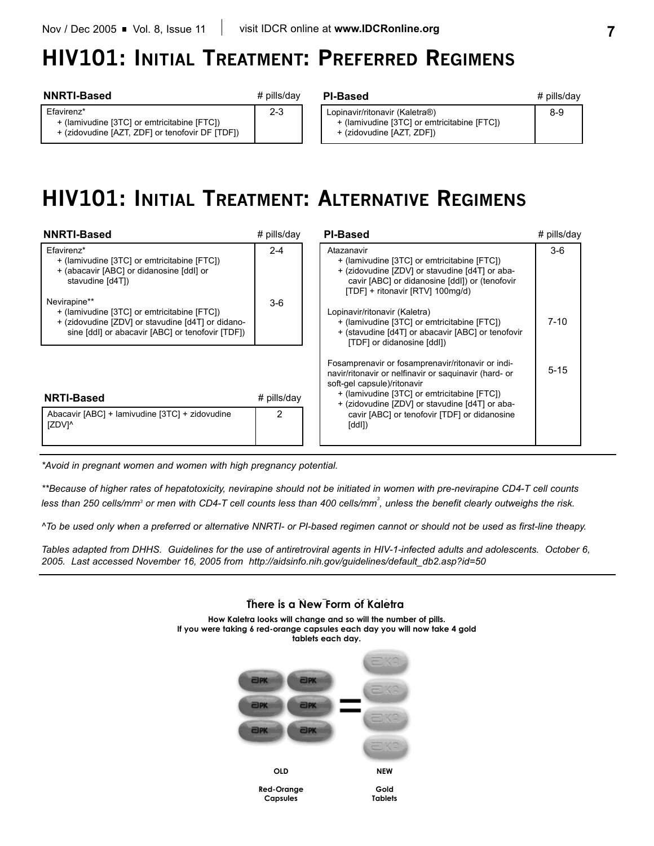+ (lamivudine [3TC] or emtricitabine [FTC]) + (zidovudine [AZT, ZDF] or tenofovir DF [TDF])

# **HIV101: INITIAL TREATMENT: PREFERRED REGIMENS**

# **NNRTI-Based** *# pills/day* **PI-Based**

Efavirenz\*

# pills/day

2-3

| 이-Based                                                                       | # pills/day |
|-------------------------------------------------------------------------------|-------------|
| Lopinavir/ritonavir (Kaletra®)<br>+ (lamivudine [3TC] or emtricitabine [FTC]) | 8-9         |
| + (zidovudine [AZT, ZDF])                                                     |             |

# **HIV101: INITIAL TREATMENT: ALTERNATIVE REGIMENS**

| <b>NNRTI-Based</b>                                                                                                                                                   | $#$ pills/day | <b>PI-Based</b>                                                                                                                                                                                                                            | # pills/day |
|----------------------------------------------------------------------------------------------------------------------------------------------------------------------|---------------|--------------------------------------------------------------------------------------------------------------------------------------------------------------------------------------------------------------------------------------------|-------------|
| Efavirenz*<br>+ (lamivudine [3TC] or emtricitabine [FTC])<br>+ (abacavir [ABC] or didanosine [ddl] or<br>stavudine [d4T])                                            | $2 - 4$       | Atazanavir<br>+ (lamivudine [3TC] or emtricitabine [FTC])<br>+ (zidovudine [ZDV] or stavudine [d4T] or aba-<br>cavir [ABC] or didanosine [ddl]) or (tenofovir<br>[TDF] + ritonavir [RTV] 100mg/d)                                          | $3-6$       |
| Nevirapine**<br>+ (lamivudine [3TC] or emtricitabine [FTC])<br>+ (zidovudine [ZDV] or stavudine [d4T] or didano-<br>sine [ddl] or abacavir [ABC] or tenofovir [TDF]) | $3-6$         | Lopinavir/ritonavir (Kaletra)<br>+ (lamivudine [3TC] or emtricitabine [FTC])<br>+ (stavudine [d4T] or abacavir [ABC] or tenofovir<br>[TDF] or didanosine [ddl])                                                                            | $7 - 10$    |
| <b>NRTI-Based</b>                                                                                                                                                    | # pills/day   | Fosamprenavir or fosamprenavir/ritonavir or indi-<br>navir/ritonavir or nelfinavir or saguinavir (hard- or<br>soft-gel capsule)/ritonavir<br>+ (lamivudine [3TC] or emtricitabine [FTC])<br>+ (zidovudine [ZDV] or stavudine [d4T] or aba- | $5 - 15$    |
| Abacavir [ABC] + lamivudine [3TC] + zidovudine<br>IZDV <sub>1</sub>                                                                                                  | 2             | cavir [ABC] or tenofovir [TDF] or didanosine<br>[ddl])                                                                                                                                                                                     |             |

*\*Avoid in pregnant women and women with high pregnancy potential.*

*\*\*Because of higher rates of hepatotoxicity, nevirapine should not be initiated in women with pre-nevirapine CD4-T cell counts* less than 250 cells/mm<sup>3</sup> or men with CD4-T cell counts less than 400 cells/mm<sup>3</sup>, unless the benefit clearly outweighs the risk.

*^To be used only when a preferred or alternative NNRTI- or PI-based regimen cannot or should not be used as first-line theapy.*

*Tables adapted from DHHS. Guidelines for the use of antiretroviral agents in HIV-1-infected adults and adolescents. October 6, 2005. Last accessed November 16, 2005 from http://aidsinfo.nih.gov/guidelines/default\_db2.asp?id=50*

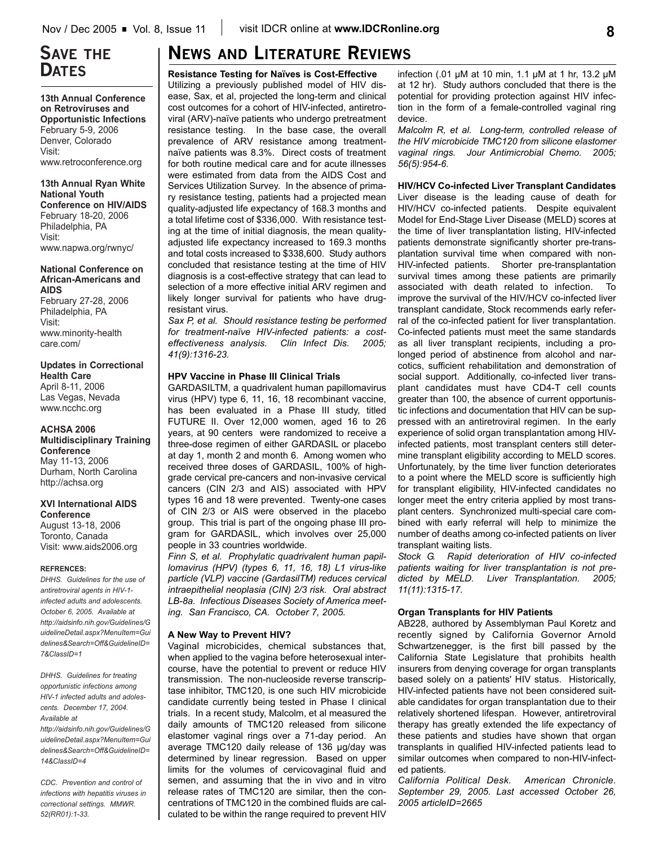# **SAVE THE DATES**

**13th Annual Conference on Retroviruses and Opportunistic Infections** February 5-9, 2006 Denver, Colorado Visit: www.retroconference.org

**13th Annual Ryan White National Youth Conference on HIV/AIDS** February 18-20, 2006 Philadelphia, PA Visit: www.napwa.org/rwnyc/

### **National Conference on African-Americans and AIDS**

February 27-28, 2006 Philadelphia, PA Visit: www.minority-health care.com/

## **Updates in Correctional Health Care**

April 8-11, 2006 Las Vegas, Nevada www.ncchc.org

### **ACHSA 2006**

**Multidisciplinary Training Conference** May 11-13, 2006 Durham, North Carolina http://achsa.org

### **XVI International AIDS Conference**

August 13-18, 2006 Toronto, Canada Visit: www.aids2006.org

#### **REFRENCES:**

*DHHS. Guidelines for the use of antiretroviral agents in HIV-1 infected adults and adolescents. October 6, 2005. Available at http://aidsinfo.nih.gov/Guidelines/G uidelineDetail.aspx?MenuItem=Gui delines&Search=Off&GuidelineID= 7&ClassID=1*

*DHHS. Guidelines for treating opportunistic infections among HIV-1 infected adults and adolescents. December 17, 2004. Available at*

*http://aidsinfo.nih.gov/Guidelines/G uidelineDetail.aspx?MenuItem=Gui delines&Search=Off&GuidelineID= 14&ClassID=4*

*CDC. Prevention and control of infections with hepatitis viruses in correctional settings. MMWR. 52(RR01):1-33.*

# **NEWS AND LITERATURE REVIEWS**

**Resistance Testing for Naïves is Cost-Effective**

Utilizing a previously published model of HIV disease, Sax, et al, projected the long-term and clinical cost outcomes for a cohort of HIV-infected, antiretroviral (ARV)-naïve patients who undergo pretreatment resistance testing. In the base case, the overall prevalence of ARV resistance among treatmentnaïve patients was 8.3%. Direct costs of treatment for both routine medical care and for acute illnesses were estimated from data from the AIDS Cost and Services Utilization Survey. In the absence of primary resistance testing, patients had a projected mean quality-adjusted life expectancy of 168.3 months and a total lifetime cost of \$336,000. With resistance testing at the time of initial diagnosis, the mean qualityadjusted life expectancy increased to 169.3 months and total costs increased to \$338,600. Study authors concluded that resistance testing at the time of HIV diagnosis is a cost-effective strategy that can lead to selection of a more effective initial ARV regimen and likely longer survival for patients who have drugresistant virus.

*Sax P, et al. Should resistance testing be performed for treatment-naïve HIV-infected patients: a costeffectiveness analysis. Clin Infect Dis. 2005; 41(9):1316-23.*

### **HPV Vaccine in Phase III Clinical Trials**

GARDASILTM, a quadrivalent human papillomavirus virus (HPV) type 6, 11, 16, 18 recombinant vaccine, has been evaluated in a Phase III study, titled FUTURE II. Over 12,000 women, aged 16 to 26 years, at 90 centers were randomized to receive a three-dose regimen of either GARDASIL or placebo at day 1, month 2 and month 6. Among women who received three doses of GARDASIL, 100% of highgrade cervical pre-cancers and non-invasive cervical cancers (CIN 2/3 and AIS) associated with HPV types 16 and 18 were prevented. Twenty-one cases of CIN 2/3 or AIS were observed in the placebo group. This trial is part of the ongoing phase III program for GARDASIL, which involves over 25,000 people in 33 countries worldwide.

*Finn S, et al. Prophylatic quadrivalent human papillomavirus (HPV) (types 6, 11, 16, 18) L1 virus-like particle (VLP) vaccine (GardasilTM) reduces cervical intraepithelial neoplasia (CIN) 2/3 risk. Oral abstract LB-8a. Infectious Diseases Society of America meeting. San Francisco, CA. October 7, 2005.*

### **A New Way to Prevent HIV?**

Vaginal microbicides, chemical substances that, when applied to the vagina before heterosexual intercourse, have the potential to prevent or reduce HIV transmission. The non-nucleoside reverse transcriptase inhibitor, TMC120, is one such HIV microbicide candidate currently being tested in Phase I clinical trials. In a recent study, Malcolm, et al measured the daily amounts of TMC120 released from silicone elastomer vaginal rings over a 71-day period. An average TMC120 daily release of 136 µg/day was determined by linear regression. Based on upper limits for the volumes of cervicovaginal fluid and semen, and assuming that the in vivo and in vitro release rates of TMC120 are similar, then the concentrations of TMC120 in the combined fluids are calculated to be within the range required to prevent HIV

infection (.01 µM at 10 min, 1.1 µM at 1 hr, 13.2 µM at 12 hr). Study authors concluded that there is the potential for providing protection against HIV infection in the form of a female-controlled vaginal ring device.

*Malcolm R, et al. Long-term, controlled release of the HIV microbicide TMC120 from silicone elastomer vaginal rings. Jour Antimicrobial Chemo. 2005; 56(5):954-6*.

**HIV/HCV Co-infected Liver Transplant Candidates** Liver disease is the leading cause of death for HIV/HCV co-infected patients. Despite equivalent Model for End-Stage Liver Disease (MELD) scores at the time of liver transplantation listing, HIV-infected patients demonstrate significantly shorter pre-transplantation survival time when compared with non-HIV-infected patients. Shorter pre-transplantation survival times among these patients are primarily associated with death related to infection. To improve the survival of the HIV/HCV co-infected liver transplant candidate, Stock recommends early referral of the co-infected patient for liver transplantation. Co-infected patients must meet the same standards as all liver transplant recipients, including a prolonged period of abstinence from alcohol and narcotics, sufficient rehabilitation and demonstration of social support. Additionally, co-infected liver transplant candidates must have CD4-T cell counts greater than 100, the absence of current opportunistic infections and documentation that HIV can be suppressed with an antiretroviral regimen. In the early experience of solid organ transplantation among HIVinfected patients, most transplant centers still determine transplant eligibility according to MELD scores. Unfortunately, by the time liver function deteriorates to a point where the MELD score is sufficiently high for transplant eligibility, HIV-infected candidates no longer meet the entry criteria applied by most transplant centers. Synchronized multi-special care combined with early referral will help to minimize the number of deaths among co-infected patients on liver transplant waiting lists.

*Stock G. Rapid deterioration of HIV co-infected patients waiting for liver transplantation is not predicted by MELD. Liver Transplantation. 2005; 11(11):1315-17.*

### **Organ Transplants for HIV Patients**

AB228, authored by Assemblyman Paul Koretz and recently signed by California Governor Arnold Schwartzenegger, is the first bill passed by the California State Legislature that prohibits health insurers from denying coverage for organ transplants based solely on a patients' HIV status. Historically, HIV-infected patients have not been considered suitable candidates for organ transplantation due to their relatively shortened lifespan. However, antiretroviral therapy has greatly extended the life expectancy of these patients and studies have shown that organ transplants in qualified HIV-infected patients lead to similar outcomes when compared to non-HIV-infected patients.

*California Political Desk. American Chronicle. September 29, 2005. Last accessed October 26, 2005 articleID=2665*